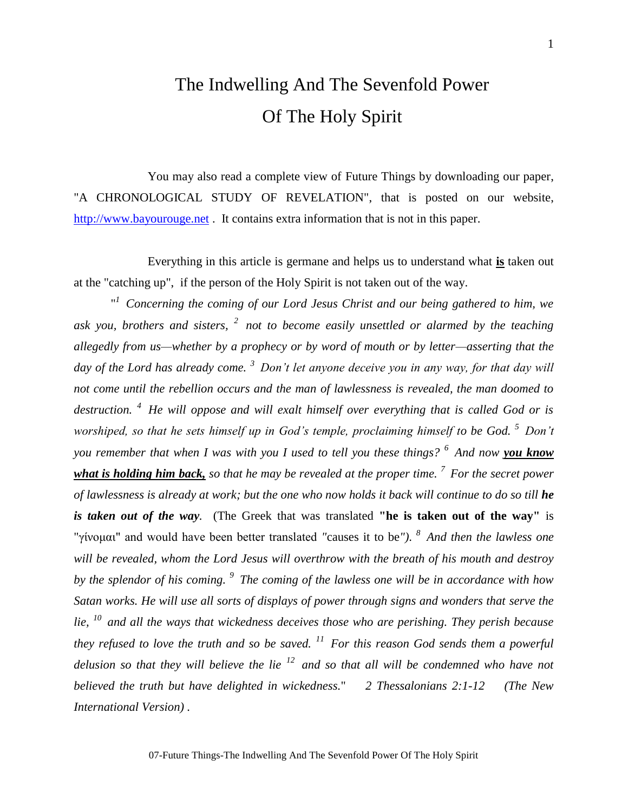# The Indwelling And The Sevenfold Power Of The Holy Spirit

You may also read a complete view of Future Things by downloading our paper, "A CHRONOLOGICAL STUDY OF REVELATION", that is posted on our website, [http://www.bayourouge.net](http://www.bayourouge.net/) . It contains extra information that is not in this paper.

Everything in this article is germane and helps us to understand what **is** taken out at the "catching up", if the person of the Holy Spirit is not taken out of the way.

<sup>"</sup> Concerning the coming of our Lord Jesus Christ and our being gathered to him, we *ask you, brothers and sisters, <sup>2</sup>not to become easily unsettled or alarmed by the teaching allegedly from us—whether by a prophecy or by word of mouth or by letter—asserting that the day of the Lord has already come. <sup>3</sup>Don't let anyone deceive you in any way, for that day will not come until the rebellion occurs and the man of lawlessness is revealed, the man doomed to destruction. <sup>4</sup>He will oppose and will exalt himself over everything that is called God or is worshiped, so that he sets himself up in God's temple, proclaiming himself to be God. <sup>5</sup>Don't you remember that when I was with you I used to tell you these things? <sup>6</sup>And now you know what is holding him back, so that he may be revealed at the proper time. <sup>7</sup>For the secret power of lawlessness is already at work; but the one who now holds it back will continue to do so till he is taken out of the way.* (The Greek that was translated **"he is taken out of the way"** is "γίνομαι" and would have been better translated *"*causes it to be*")*. *<sup>8</sup>And then the lawless one will be revealed, whom the Lord Jesus will overthrow with the breath of his mouth and destroy by the splendor of his coming. <sup>9</sup>The coming of the lawless one will be in accordance with how Satan works. He will use all sorts of displays of power through signs and wonders that serve the lie, <sup>10</sup>and all the ways that wickedness deceives those who are perishing. They perish because they refused to love the truth and so be saved. <sup>11</sup>For this reason God sends them a powerful delusion so that they will believe the lie <sup>12</sup>and so that all will be condemned who have not believed the truth but have delighted in wickedness.*" *2 Thessalonians 2:1-12 (The New International Version) .*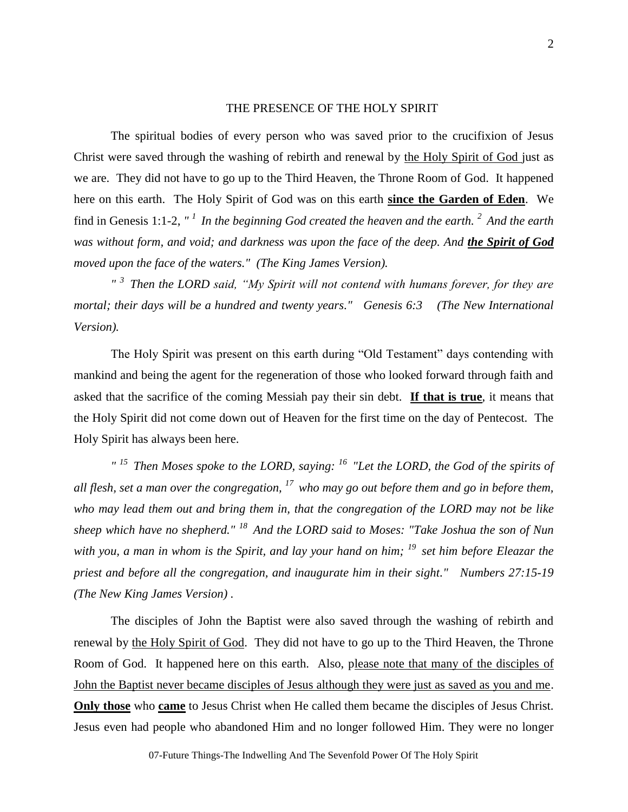# THE PRESENCE OF THE HOLY SPIRIT

The spiritual bodies of every person who was saved prior to the crucifixion of Jesus Christ were saved through the washing of rebirth and renewal by the Holy Spirit of God just as we are. They did not have to go up to the Third Heaven, the Throne Room of God. It happened here on this earth. The Holy Spirit of God was on this earth **since the Garden of Eden**. We find in Genesis 1:1-2, *" <sup>1</sup>In the beginning God created the heaven and the earth. <sup>2</sup>And the earth was without form, and void; and darkness was upon the face of the deep. And the Spirit of God moved upon the face of the waters." (The King James Version).*

*" <sup>3</sup>Then the LORD said, "My Spirit will not contend with humans forever, for they are mortal; their days will be a hundred and twenty years." Genesis 6:3 (The New International Version).*

The Holy Spirit was present on this earth during "Old Testament" days contending with mankind and being the agent for the regeneration of those who looked forward through faith and asked that the sacrifice of the coming Messiah pay their sin debt. **If that is true**, it means that the Holy Spirit did not come down out of Heaven for the first time on the day of Pentecost. The Holy Spirit has always been here.

*" <sup>15</sup>Then Moses spoke to the LORD, saying: <sup>16</sup>"Let the LORD, the God of the spirits of all flesh, set a man over the congregation, <sup>17</sup>who may go out before them and go in before them, who may lead them out and bring them in, that the congregation of the LORD may not be like sheep which have no shepherd." <sup>18</sup>And the LORD said to Moses: "Take Joshua the son of Nun with you, a man in whom is the Spirit, and lay your hand on him; <sup>19</sup>set him before Eleazar the priest and before all the congregation, and inaugurate him in their sight." Numbers 27:15-19 (The New King James Version) .*

The disciples of John the Baptist were also saved through the washing of rebirth and renewal by the Holy Spirit of God. They did not have to go up to the Third Heaven, the Throne Room of God. It happened here on this earth. Also, please note that many of the disciples of John the Baptist never became disciples of Jesus although they were just as saved as you and me. **Only those** who **came** to Jesus Christ when He called them became the disciples of Jesus Christ. Jesus even had people who abandoned Him and no longer followed Him. They were no longer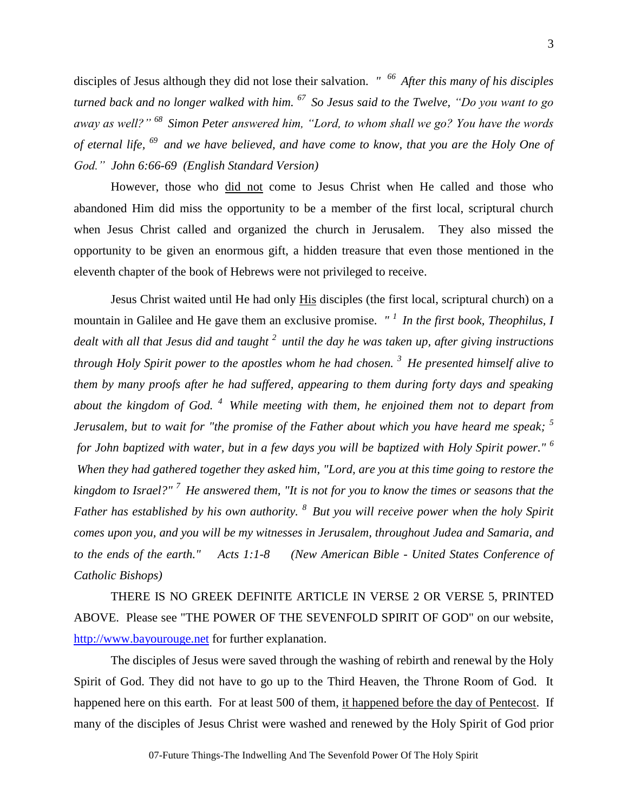disciples of Jesus although they did not lose their salvation. *" <sup>66</sup>After this many of his disciples turned back and no longer walked with him. <sup>67</sup>So Jesus said to the Twelve, "Do you want to go away as well?" <sup>68</sup>Simon Peter answered him, "Lord, to whom shall we go? You have the words of eternal life, <sup>69</sup>and we have believed, and have come to know, that you are the Holy One of God." John 6:66-69 (English Standard Version)*

However, those who did not come to Jesus Christ when He called and those who abandoned Him did miss the opportunity to be a member of the first local, scriptural church when Jesus Christ called and organized the church in Jerusalem. They also missed the opportunity to be given an enormous gift, a hidden treasure that even those mentioned in the eleventh chapter of the book of Hebrews were not privileged to receive.

Jesus Christ waited until He had only His disciples (the first local, scriptural church) on a mountain in Galilee and He gave them an exclusive promise. *" <sup>1</sup>In the first book, Theophilus, I dealt with all that Jesus did and taught <sup>2</sup>until the day he was taken up, after giving instructions through Holy Spirit power to the apostles whom he had chosen. <sup>3</sup>He presented himself alive to them by many proofs after he had suffered, appearing to them during forty days and speaking about the kingdom of God. <sup>4</sup>While meeting with them, he enjoined them not to depart from Jerusalem, but to wait for "the promise of the Father about which you have heard me speak; <sup>5</sup> for John baptized with water, but in a few days you will be baptized with Holy Spirit power." <sup>6</sup> When they had gathered together they asked him, "Lord, are you at this time going to restore the kingdom to Israel?" <sup>7</sup>He answered them, "It is not for you to know the times or seasons that the Father has established by his own authority. <sup>8</sup>But you will receive power when the holy Spirit comes upon you, and you will be my witnesses in Jerusalem, throughout Judea and Samaria, and to the ends of the earth." Acts 1:1-8 (New American Bible - United States Conference of Catholic Bishops)* 

THERE IS NO GREEK DEFINITE ARTICLE IN VERSE 2 OR VERSE 5, PRINTED ABOVE. Please see "THE POWER OF THE SEVENFOLD SPIRIT OF GOD" on our website, [http://www.bayourouge.net](http://www.bayourouge.net/) for further explanation.

The disciples of Jesus were saved through the washing of rebirth and renewal by the Holy Spirit of God. They did not have to go up to the Third Heaven, the Throne Room of God. It happened here on this earth. For at least 500 of them, it happened before the day of Pentecost. If many of the disciples of Jesus Christ were washed and renewed by the Holy Spirit of God prior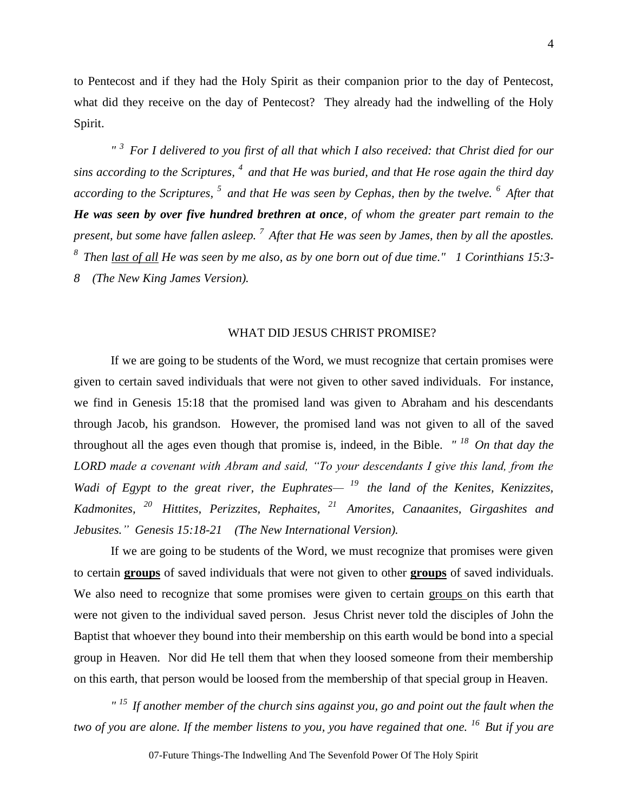to Pentecost and if they had the Holy Spirit as their companion prior to the day of Pentecost, what did they receive on the day of Pentecost? They already had the indwelling of the Holy Spirit.

*" <sup>3</sup>For I delivered to you first of all that which I also received: that Christ died for our sins according to the Scriptures, <sup>4</sup>and that He was buried, and that He rose again the third day according to the Scriptures, <sup>5</sup>and that He was seen by Cephas, then by the twelve. <sup>6</sup>After that He was seen by over five hundred brethren at once, of whom the greater part remain to the present, but some have fallen asleep. <sup>7</sup>After that He was seen by James, then by all the apostles. <sup>8</sup>Then last of all He was seen by me also, as by one born out of due time." 1 Corinthians 15:3- 8 (The New King James Version).*

# WHAT DID JESUS CHRIST PROMISE?

If we are going to be students of the Word, we must recognize that certain promises were given to certain saved individuals that were not given to other saved individuals. For instance, we find in Genesis 15:18 that the promised land was given to Abraham and his descendants through Jacob, his grandson. However, the promised land was not given to all of the saved throughout all the ages even though that promise is, indeed, in the Bible. *" <sup>18</sup>On that day the LORD made a covenant with Abram and said, "To your descendants I give this land, from the*  Wadi of Egypt to the great river, the Euphrates— <sup>19</sup> the land of the Kenites, Kenizzites, *Kadmonites, <sup>20</sup>Hittites, Perizzites, Rephaites, <sup>21</sup>Amorites, Canaanites, Girgashites and Jebusites." Genesis 15:18-21 (The New International Version).*

If we are going to be students of the Word, we must recognize that promises were given to certain **groups** of saved individuals that were not given to other **groups** of saved individuals. We also need to recognize that some promises were given to certain groups on this earth that were not given to the individual saved person. Jesus Christ never told the disciples of John the Baptist that whoever they bound into their membership on this earth would be bond into a special group in Heaven. Nor did He tell them that when they loosed someone from their membership on this earth, that person would be loosed from the membership of that special group in Heaven.

*" <sup>15</sup>If another member of the church sins against you, go and point out the fault when the two of you are alone. If the member listens to you, you have regained that one. <sup>16</sup>But if you are* 

07-Future Things-The Indwelling And The Sevenfold Power Of The Holy Spirit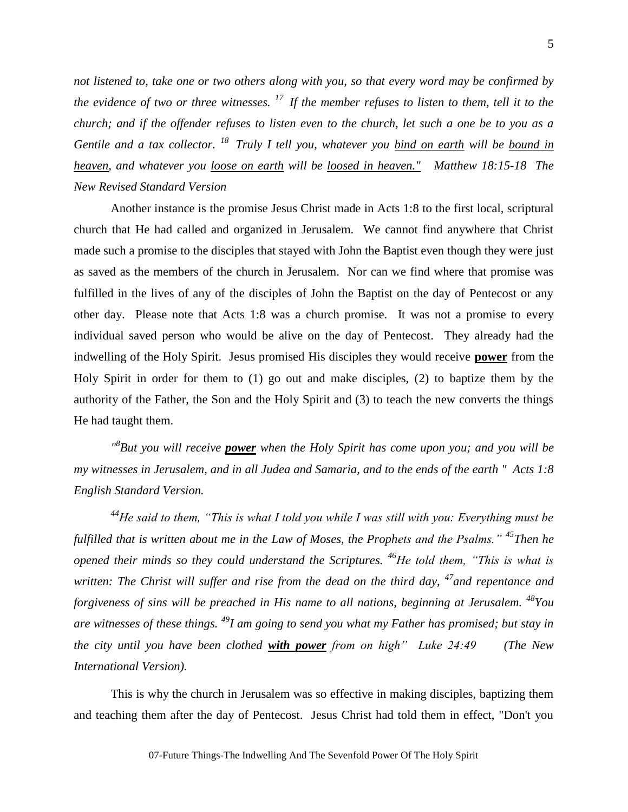*not listened to, take one or two others along with you, so that every word may be confirmed by the evidence of two or three witnesses. <sup>17</sup>If the member refuses to listen to them, tell it to the church; and if the offender refuses to listen even to the church, let such a one be to you as a Gentile and a tax collector. <sup>18</sup>Truly I tell you, whatever you bind on earth will be bound in heaven, and whatever you loose on earth will be loosed in heaven." Matthew 18:15-18 The New Revised Standard Version*

Another instance is the promise Jesus Christ made in Acts 1:8 to the first local, scriptural church that He had called and organized in Jerusalem. We cannot find anywhere that Christ made such a promise to the disciples that stayed with John the Baptist even though they were just as saved as the members of the church in Jerusalem. Nor can we find where that promise was fulfilled in the lives of any of the disciples of John the Baptist on the day of Pentecost or any other day. Please note that Acts 1:8 was a church promise. It was not a promise to every individual saved person who would be alive on the day of Pentecost. They already had the indwelling of the Holy Spirit. Jesus promised His disciples they would receive **power** from the Holy Spirit in order for them to (1) go out and make disciples, (2) to baptize them by the authority of the Father, the Son and the Holy Spirit and (3) to teach the new converts the things He had taught them.

*" 8 But you will receive power when the Holy Spirit has come upon you; and you will be my witnesses in Jerusalem, and in all Judea and Samaria, and to the ends of the earth " Acts 1:8 English Standard Version.*

*<sup>44</sup>He said to them, "This is what I told you while I was still with you: Everything must be fulfilled that is written about me in the Law of Moses, the Prophets and the Psalms." <sup>45</sup>Then he opened their minds so they could understand the Scriptures. <sup>46</sup>He told them, "This is what is written: The Christ will suffer and rise from the dead on the third day, <sup>47</sup><i>and repentance and forgiveness of sins will be preached in His name to all nations, beginning at Jerusalem. <sup>48</sup>You are witnesses of these things. <sup>49</sup>I am going to send you what my Father has promised; but stay in the city until you have been clothed with power from on high" Luke 24:49 (The New International Version).*

This is why the church in Jerusalem was so effective in making disciples, baptizing them and teaching them after the day of Pentecost. Jesus Christ had told them in effect, "Don't you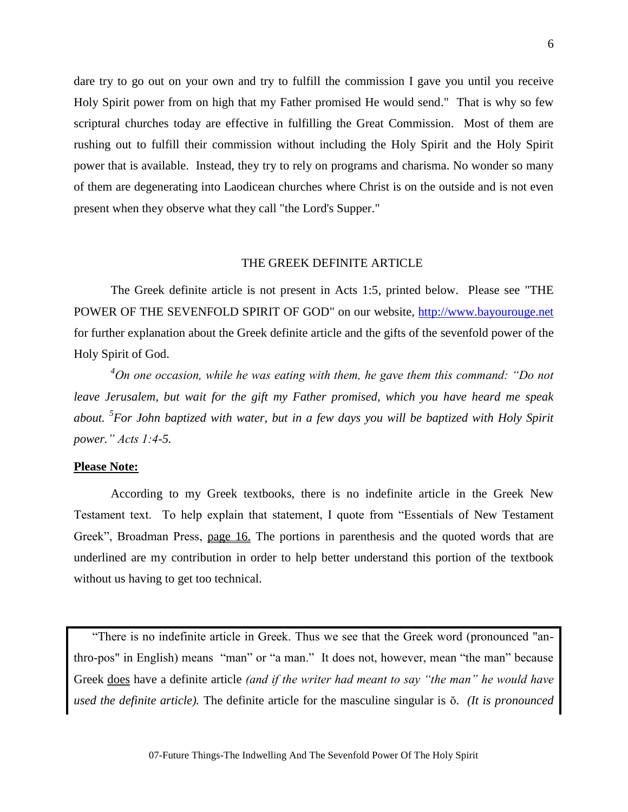dare try to go out on your own and try to fulfill the commission I gave you until you receive Holy Spirit power from on high that my Father promised He would send." That is why so few scriptural churches today are effective in fulfilling the Great Commission. Most of them are rushing out to fulfill their commission without including the Holy Spirit and the Holy Spirit power that is available. Instead, they try to rely on programs and charisma. No wonder so many of them are degenerating into Laodicean churches where Christ is on the outside and is not even present when they observe what they call "the Lord's Supper."

#### THE GREEK DEFINITE ARTICLE

The Greek definite article is not present in Acts 1:5, printed below. Please see "THE POWER OF THE SEVENFOLD SPIRIT OF GOD" on our website, [http://www.bayourouge.net](http://www.bayourouge.net/) for further explanation about the Greek definite article and the gifts of the sevenfold power of the Holy Spirit of God.

*<sup>4</sup>On one occasion, while he was eating with them, he gave them this command: "Do not leave Jerusalem, but wait for the gift my Father promised, which you have heard me speak about. <sup>5</sup> For John baptized with water, but in a few days you will be baptized with Holy Spirit power." Acts 1:4-5.*

# **Please Note:**

According to my Greek textbooks, there is no indefinite article in the Greek New Testament text. To help explain that statement, I quote from "Essentials of New Testament Greek", Broadman Press, page 16. The portions in parenthesis and the quoted words that are underlined are my contribution in order to help better understand this portion of the textbook without us having to get too technical.

"There is no indefinite article in Greek. Thus we see that the Greek word (pronounced "anthro-pos" in English) means "man" or "a man." It does not, however, mean "the man" because Greek does have a definite article *(and if the writer had meant to say "the man" he would have used the definite article*). The definite article for the masculine singular is  $\delta$ . *(It is pronounced*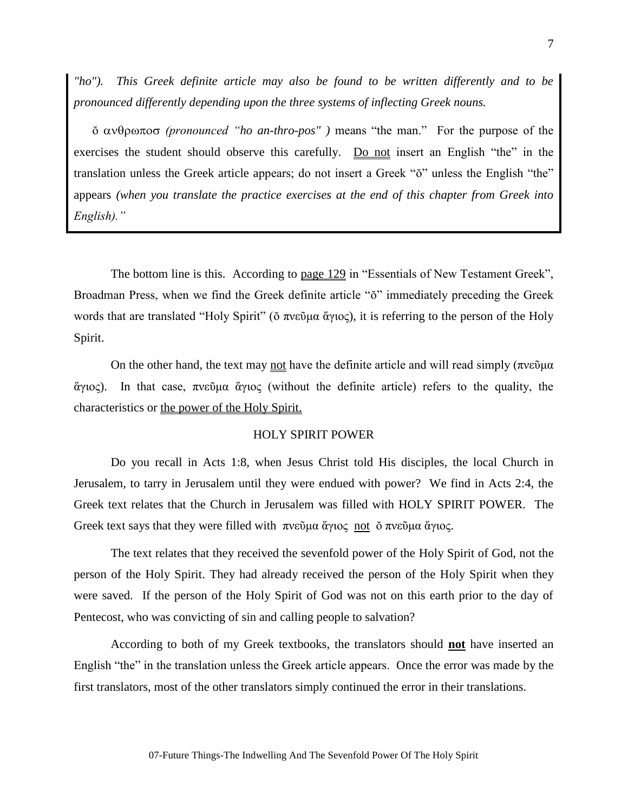*"ho"). This Greek definite article may also be found to be written differently and to be pronounced differently depending upon the three systems of inflecting Greek nouns.* 

 *(pronounced "ho an-thro-pos" )* means "the man." For the purpose of the exercises the student should observe this carefully. Do not insert an English "the" in the translation unless the Greek article appears; do not insert a Greek " $\delta$ " unless the English "the" appears *(when you translate the practice exercises at the end of this chapter from Greek into English)."*

The bottom line is this. According to page 129 in "Essentials of New Testament Greek", Broadman Press, when we find the Greek definite article " $\delta$ " immediately preceding the Greek words that are translated "Holy Spirit" (δ πνεῦμα ἅγιος), it is referring to the person of the Holy Spirit.

On the other hand, the text may not have the definite article and will read simply (πνεῦμα ἅγιος). In that case, πνεῦμα ἅγιος (without the definite article) refers to the quality, the characteristics or the power of the Holy Spirit.

# HOLY SPIRIT POWER

Do you recall in Acts 1:8, when Jesus Christ told His disciples, the local Church in Jerusalem, to tarry in Jerusalem until they were endued with power? We find in Acts 2:4, the Greek text relates that the Church in Jerusalem was filled with HOLY SPIRIT POWER. The Greek text says that they were filled with πνεῦμα ἅγιος not ŏ πνεῦμα ἅγιος.

The text relates that they received the sevenfold power of the Holy Spirit of God, not the person of the Holy Spirit. They had already received the person of the Holy Spirit when they were saved. If the person of the Holy Spirit of God was not on this earth prior to the day of Pentecost, who was convicting of sin and calling people to salvation?

According to both of my Greek textbooks, the translators should **not** have inserted an English "the" in the translation unless the Greek article appears. Once the error was made by the first translators, most of the other translators simply continued the error in their translations.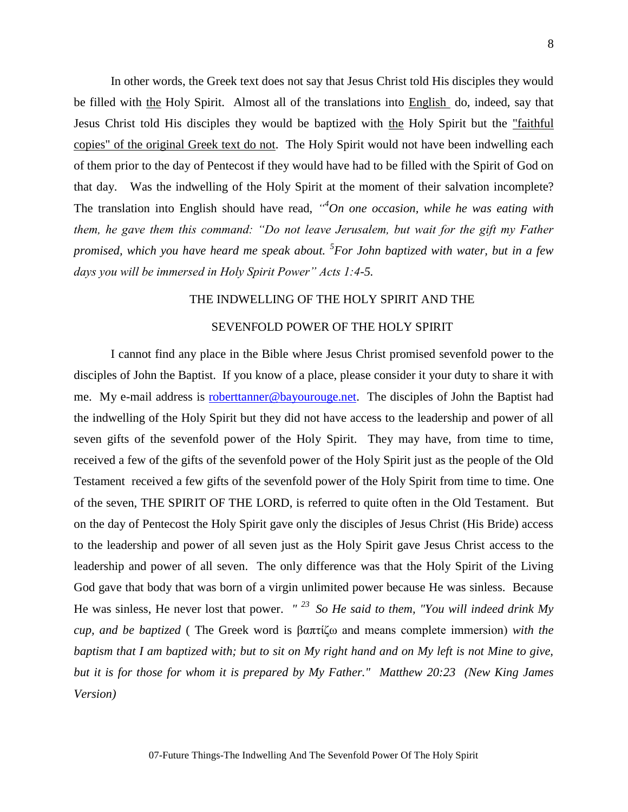In other words, the Greek text does not say that Jesus Christ told His disciples they would be filled with the Holy Spirit. Almost all of the translations into English do, indeed, say that Jesus Christ told His disciples they would be baptized with the Holy Spirit but the "faithful copies" of the original Greek text do not. The Holy Spirit would not have been indwelling each of them prior to the day of Pentecost if they would have had to be filled with the Spirit of God on that day. Was the indwelling of the Holy Spirit at the moment of their salvation incomplete? The translation into English should have read, *" <sup>4</sup>On one occasion, while he was eating with them, he gave them this command: "Do not leave Jerusalem, but wait for the gift my Father promised, which you have heard me speak about. <sup>5</sup> For John baptized with water, but in a few days you will be immersed in Holy Spirit Power" Acts 1:4-5.*

# THE INDWELLING OF THE HOLY SPIRIT AND THE

# SEVENFOLD POWER OF THE HOLY SPIRIT

I cannot find any place in the Bible where Jesus Christ promised sevenfold power to the disciples of John the Baptist. If you know of a place, please consider it your duty to share it with me. My e-mail address is **roberttanner@bayourouge.net**. The disciples of John the Baptist had the indwelling of the Holy Spirit but they did not have access to the leadership and power of all seven gifts of the sevenfold power of the Holy Spirit. They may have, from time to time, received a few of the gifts of the sevenfold power of the Holy Spirit just as the people of the Old Testament received a few gifts of the sevenfold power of the Holy Spirit from time to time. One of the seven, THE SPIRIT OF THE LORD, is referred to quite often in the Old Testament. But on the day of Pentecost the Holy Spirit gave only the disciples of Jesus Christ (His Bride) access to the leadership and power of all seven just as the Holy Spirit gave Jesus Christ access to the leadership and power of all seven. The only difference was that the Holy Spirit of the Living God gave that body that was born of a virgin unlimited power because He was sinless. Because He was sinless, He never lost that power. *" <sup>23</sup>So He said to them, "You will indeed drink My cup, and be baptized* ( The Greek word is βαπτίζω and means complete immersion) *with the baptism that I am baptized with; but to sit on My right hand and on My left is not Mine to give, but it is for those for whom it is prepared by My Father." Matthew 20:23 (New King James Version)*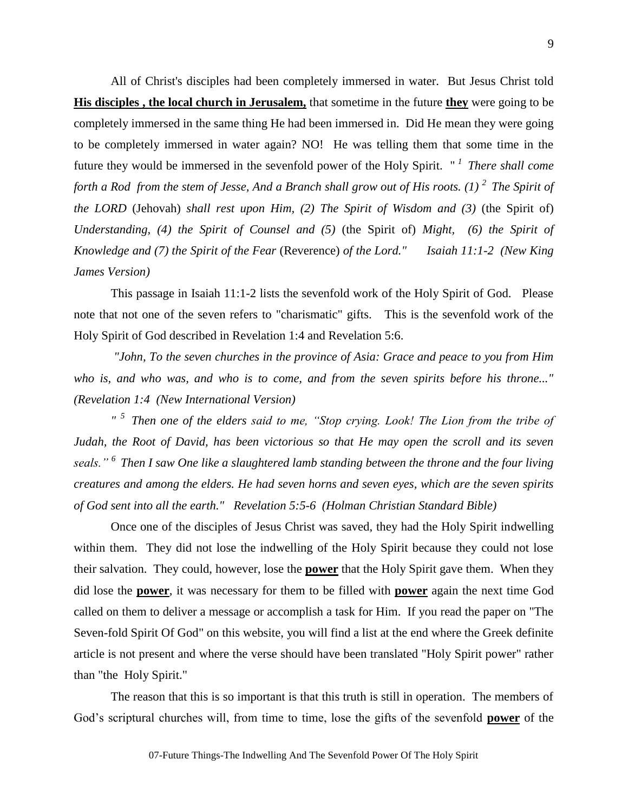All of Christ's disciples had been completely immersed in water. But Jesus Christ told **His disciples , the local church in Jerusalem,** that sometime in the future **they** were going to be completely immersed in the same thing He had been immersed in. Did He mean they were going to be completely immersed in water again? NO! He was telling them that some time in the future they would be immersed in the sevenfold power of the Holy Spirit. " *<sup>1</sup>There shall come forth a Rod from the stem of Jesse, And a Branch shall grow out of His roots. (1)* <sup>2</sup> *The Spirit of the LORD* (Jehovah) *shall rest upon Him, (2) The Spirit of Wisdom and (3)* (the Spirit of) *Understanding, (4) the Spirit of Counsel and (5)* (the Spirit of) *Might, (6) the Spirit of Knowledge and (7) the Spirit of the Fear* (Reverence) *of the Lord." Isaiah 11:1-2 (New King James Version)* 

This passage in Isaiah 11:1-2 lists the sevenfold work of the Holy Spirit of God. Please note that not one of the seven refers to "charismatic" gifts. This is the sevenfold work of the Holy Spirit of God described in Revelation 1:4 and Revelation 5:6.

*"John, To the seven churches in the province of Asia: Grace and peace to you from Him who is, and who was, and who is to come, and from the seven spirits before his throne..." (Revelation 1:4 (New International Version)* 

*" <sup>5</sup>Then one of the elders said to me, "Stop crying. Look! The Lion from the tribe of Judah, the Root of David, has been victorious so that He may open the scroll and its seven seals." <sup>6</sup>Then I saw One like a slaughtered lamb standing between the throne and the four living creatures and among the elders. He had seven horns and seven eyes, which are the seven spirits of God sent into all the earth." Revelation 5:5-6 (Holman Christian Standard Bible)*

Once one of the disciples of Jesus Christ was saved, they had the Holy Spirit indwelling within them. They did not lose the indwelling of the Holy Spirit because they could not lose their salvation. They could, however, lose the **power** that the Holy Spirit gave them. When they did lose the **power**, it was necessary for them to be filled with **power** again the next time God called on them to deliver a message or accomplish a task for Him. If you read the paper on "The Seven-fold Spirit Of God" on this website, you will find a list at the end where the Greek definite article is not present and where the verse should have been translated "Holy Spirit power" rather than "the Holy Spirit."

The reason that this is so important is that this truth is still in operation. The members of God's scriptural churches will, from time to time, lose the gifts of the sevenfold **power** of the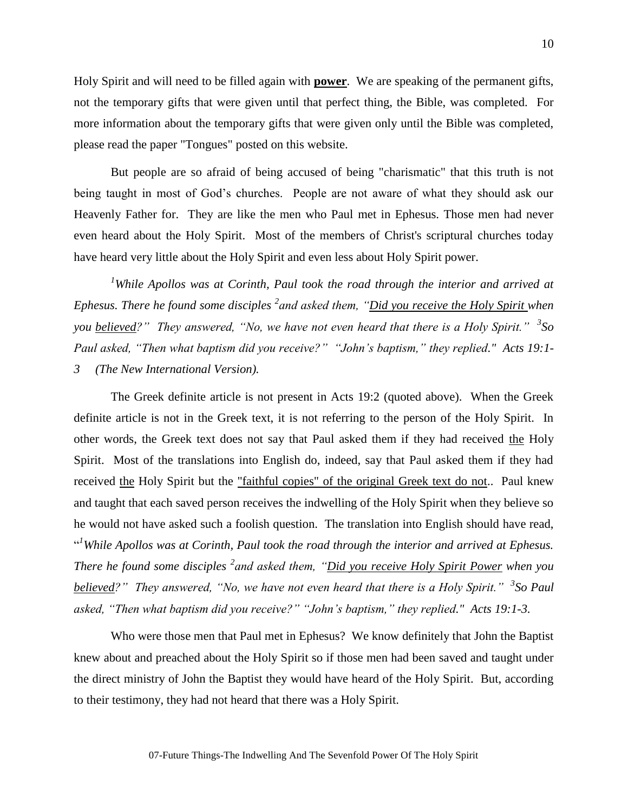Holy Spirit and will need to be filled again with **power**. We are speaking of the permanent gifts, not the temporary gifts that were given until that perfect thing, the Bible, was completed. For more information about the temporary gifts that were given only until the Bible was completed, please read the paper "Tongues" posted on this website.

But people are so afraid of being accused of being "charismatic" that this truth is not being taught in most of God's churches. People are not aware of what they should ask our Heavenly Father for. They are like the men who Paul met in Ephesus. Those men had never even heard about the Holy Spirit. Most of the members of Christ's scriptural churches today have heard very little about the Holy Spirit and even less about Holy Spirit power.

*<sup>1</sup>While Apollos was at Corinth, Paul took the road through the interior and arrived at Ephesus. There he found some disciples <sup>2</sup> and asked them, "Did you receive the Holy Spirit when you believed?" They answered, "No, we have not even heard that there is a Holy Spirit." <sup>3</sup> So Paul asked, "Then what baptism did you receive?" "John's baptism," they replied." Acts 19:1- 3 (The New International Version).*

The Greek definite article is not present in Acts 19:2 (quoted above). When the Greek definite article is not in the Greek text, it is not referring to the person of the Holy Spirit. In other words, the Greek text does not say that Paul asked them if they had received the Holy Spirit. Most of the translations into English do, indeed, say that Paul asked them if they had received the Holy Spirit but the "faithful copies" of the original Greek text do not.. Paul knew and taught that each saved person receives the indwelling of the Holy Spirit when they believe so he would not have asked such a foolish question. The translation into English should have read, <sup>41</sup>While Apollos was at Corinth, Paul took the road through the interior and arrived at Ephesus. *There he found some disciples <sup>2</sup> and asked them, "Did you receive Holy Spirit Power when you believed?" They answered, "No, we have not even heard that there is a Holy Spirit." <sup>3</sup> So Paul asked, "Then what baptism did you receive?" "John's baptism," they replied." Acts 19:1-3.*

Who were those men that Paul met in Ephesus? We know definitely that John the Baptist knew about and preached about the Holy Spirit so if those men had been saved and taught under the direct ministry of John the Baptist they would have heard of the Holy Spirit. But, according to their testimony, they had not heard that there was a Holy Spirit.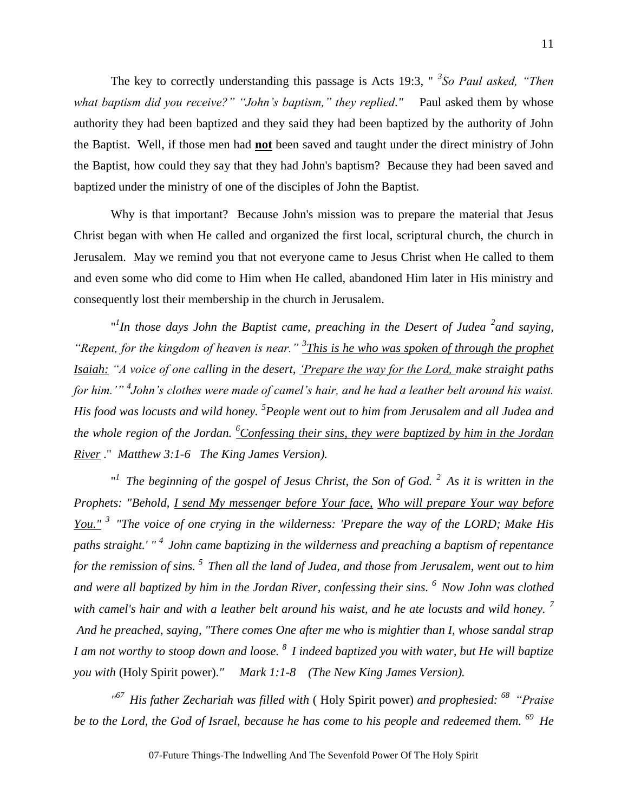The key to correctly understanding this passage is Acts 19:3, " *<sup>3</sup> So Paul asked, "Then*  what baptism did you receive?" "John's baptism," they replied." Paul asked them by whose authority they had been baptized and they said they had been baptized by the authority of John the Baptist. Well, if those men had **not** been saved and taught under the direct ministry of John the Baptist, how could they say that they had John's baptism? Because they had been saved and baptized under the ministry of one of the disciples of John the Baptist.

Why is that important? Because John's mission was to prepare the material that Jesus Christ began with when He called and organized the first local, scriptural church, the church in Jerusalem. May we remind you that not everyone came to Jesus Christ when He called to them and even some who did come to Him when He called, abandoned Him later in His ministry and consequently lost their membership in the church in Jerusalem.

"<sup>*In those days John the Baptist came, preaching in the Desert of Judea <sup>2</sup> and saying,*</sup> *"Repent, for the kingdom of heaven is near." <sup>3</sup> This is he who was spoken of through the prophet Isaiah: "A voice of one calling in the desert, 'Prepare the way for the Lord, make straight paths for him.'" <sup>4</sup> John's clothes were made of camel's hair, and he had a leather belt around his waist. His food was locusts and wild honey. <sup>5</sup> People went out to him from Jerusalem and all Judea and the whole region of the Jordan. <sup>6</sup>Confessing their sins, they were baptized by him in the Jordan River* ." *Matthew 3:1-6 The King James Version).*

" *<sup>1</sup>The beginning of the gospel of Jesus Christ, the Son of God. <sup>2</sup>As it is written in the Prophets: "Behold, I send My messenger before Your face, Who will prepare Your way before You." <sup>3</sup>"The voice of one crying in the wilderness: 'Prepare the way of the LORD; Make His paths straight.' " <sup>4</sup>John came baptizing in the wilderness and preaching a baptism of repentance for the remission of sins. <sup>5</sup>Then all the land of Judea, and those from Jerusalem, went out to him and were all baptized by him in the Jordan River, confessing their sins. <sup>6</sup>Now John was clothed with camel's hair and with a leather belt around his waist, and he ate locusts and wild honey. <sup>7</sup> And he preached, saying, "There comes One after me who is mightier than I, whose sandal strap I am not worthy to stoop down and loose. <sup>8</sup>I indeed baptized you with water, but He will baptize you with* (Holy Spirit power).*" Mark 1:1-8 (The New King James Version).*

*" <sup>67</sup>His father Zechariah was filled with* ( Holy Spirit power) *and prophesied: <sup>68</sup>"Praise be to the Lord, the God of Israel, because he has come to his people and redeemed them. <sup>69</sup>He*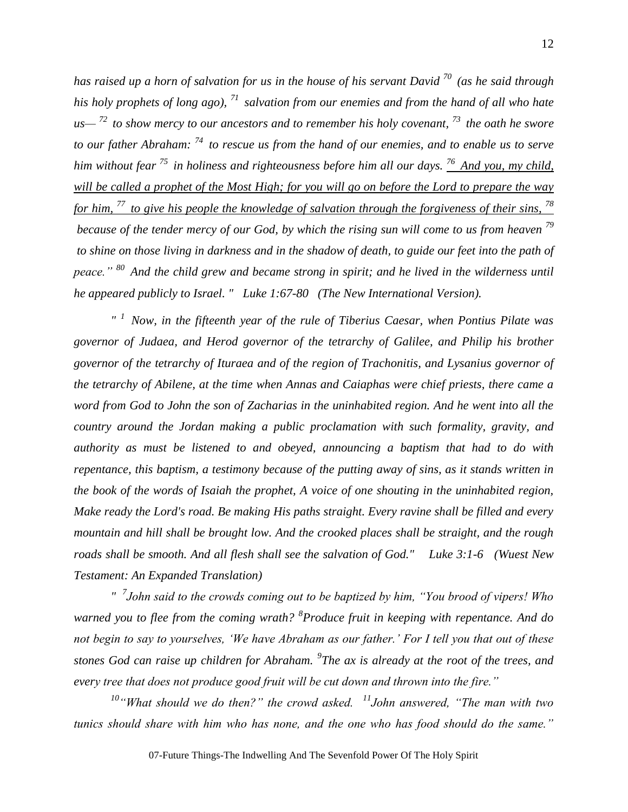*has raised up a horn of salvation for us in the house of his servant David <sup>70</sup>(as he said through his holy prophets of long ago), <sup>71</sup>salvation from our enemies and from the hand of all who hate us— <sup>72</sup>to show mercy to our ancestors and to remember his holy covenant, <sup>73</sup>the oath he swore to our father Abraham: <sup>74</sup>to rescue us from the hand of our enemies, and to enable us to serve him without fear <sup>75</sup>in holiness and righteousness before him all our days. <sup>76</sup>And you, my child, will be called a prophet of the Most High; for you will go on before the Lord to prepare the way for him, <sup>77</sup>to give his people the knowledge of salvation through the forgiveness of their sins, <sup>78</sup> because of the tender mercy of our God, by which the rising sun will come to us from heaven <sup>79</sup> to shine on those living in darkness and in the shadow of death, to guide our feet into the path of peace." <sup>80</sup>And the child grew and became strong in spirit; and he lived in the wilderness until he appeared publicly to Israel. " Luke 1:67-80 (The New International Version).*

*" <sup>1</sup>Now, in the fifteenth year of the rule of Tiberius Caesar, when Pontius Pilate was governor of Judaea, and Herod governor of the tetrarchy of Galilee, and Philip his brother governor of the tetrarchy of Ituraea and of the region of Trachonitis, and Lysanius governor of the tetrarchy of Abilene, at the time when Annas and Caiaphas were chief priests, there came a word from God to John the son of Zacharias in the uninhabited region. And he went into all the country around the Jordan making a public proclamation with such formality, gravity, and authority as must be listened to and obeyed, announcing a baptism that had to do with repentance, this baptism, a testimony because of the putting away of sins, as it stands written in the book of the words of Isaiah the prophet, A voice of one shouting in the uninhabited region, Make ready the Lord's road. Be making His paths straight. Every ravine shall be filled and every mountain and hill shall be brought low. And the crooked places shall be straight, and the rough roads shall be smooth. And all flesh shall see the salvation of God." Luke 3:1-6 (Wuest New Testament: An Expanded Translation)*

*" 7 John said to the crowds coming out to be baptized by him, "You brood of vipers! Who warned you to flee from the coming wrath? <sup>8</sup> Produce fruit in keeping with repentance. And do not begin to say to yourselves, 'We have Abraham as our father.' For I tell you that out of these stones God can raise up children for Abraham. <sup>9</sup> The ax is already at the root of the trees, and every tree that does not produce good fruit will be cut down and thrown into the fire."*

*<sup>10</sup>"What should we do then?" the crowd asked. <sup>11</sup>John answered, "The man with two tunics should share with him who has none, and the one who has food should do the same."*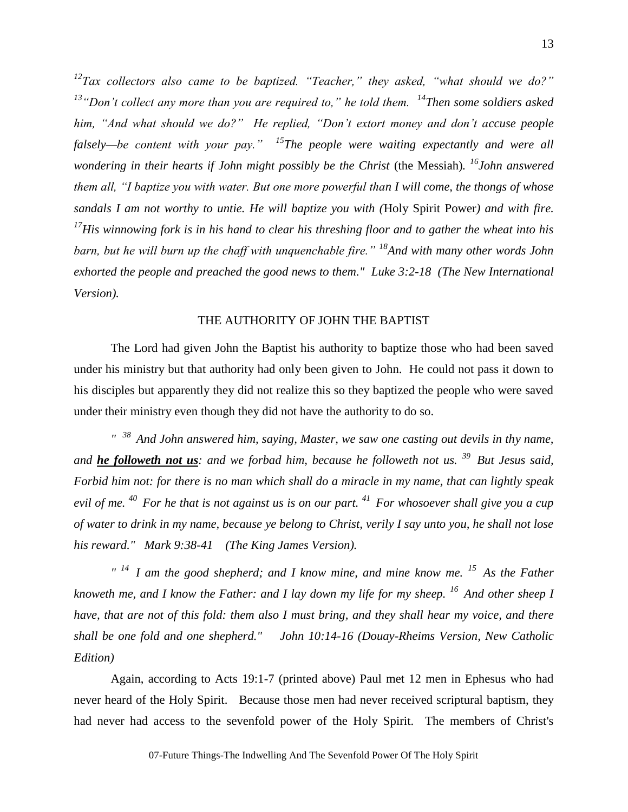*12 Tax collectors also came to be baptized. "Teacher," they asked, "what should we do?" <sup>13</sup>"Don't collect any more than you are required to," he told them. <sup>14</sup>Then some soldiers asked him, "And what should we do?" He replied, "Don't extort money and don't accuse people falsely—be content with your pay." <sup>15</sup>The people were waiting expectantly and were all wondering in their hearts if John might possibly be the Christ* (the Messiah)*. <sup>16</sup>John answered them all, "I baptize you with water. But one more powerful than I will come, the thongs of whose sandals I am not worthy to untie. He will baptize you with (*Holy Spirit Power*) and with fire. <sup>17</sup>His winnowing fork is in his hand to clear his threshing floor and to gather the wheat into his barn, but he will burn up the chaff with unquenchable fire." <sup>18</sup>And with many other words John exhorted the people and preached the good news to them." Luke 3:2-18 (The New International Version).*

# THE AUTHORITY OF JOHN THE BAPTIST

The Lord had given John the Baptist his authority to baptize those who had been saved under his ministry but that authority had only been given to John. He could not pass it down to his disciples but apparently they did not realize this so they baptized the people who were saved under their ministry even though they did not have the authority to do so.

*" <sup>38</sup>And John answered him, saying, Master, we saw one casting out devils in thy name, and he followeth not us: and we forbad him, because he followeth not us. <sup>39</sup>But Jesus said, Forbid him not: for there is no man which shall do a miracle in my name, that can lightly speak evil of me. <sup>40</sup>For he that is not against us is on our part. <sup>41</sup>For whosoever shall give you a cup of water to drink in my name, because ye belong to Christ, verily I say unto you, he shall not lose his reward." Mark 9:38-41 (The King James Version).*

*" <sup>14</sup>I am the good shepherd; and I know mine, and mine know me. <sup>15</sup>As the Father knoweth me, and I know the Father: and I lay down my life for my sheep. <sup>16</sup>And other sheep I have, that are not of this fold: them also I must bring, and they shall hear my voice, and there shall be one fold and one shepherd." John 10:14-16 (Douay-Rheims Version, New Catholic Edition)*

Again, according to Acts 19:1-7 (printed above) Paul met 12 men in Ephesus who had never heard of the Holy Spirit. Because those men had never received scriptural baptism, they had never had access to the sevenfold power of the Holy Spirit. The members of Christ's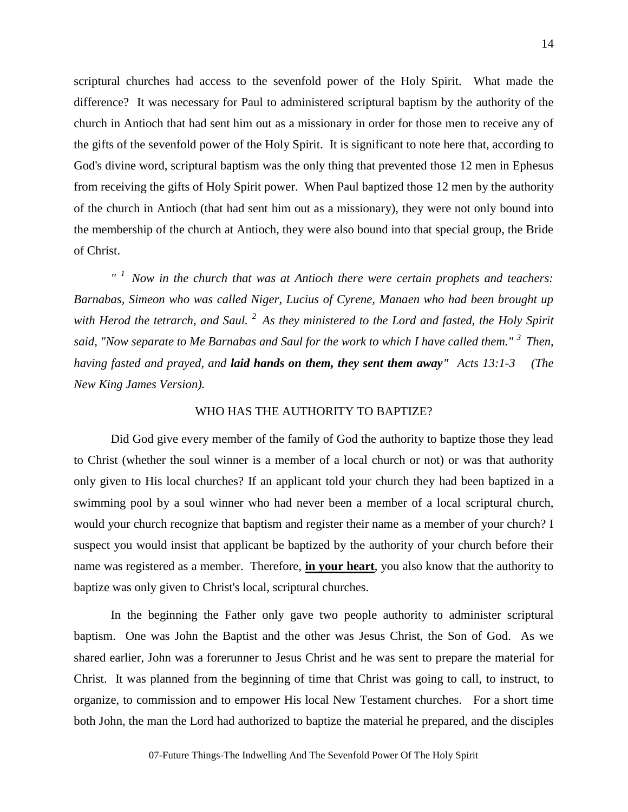scriptural churches had access to the sevenfold power of the Holy Spirit. What made the difference? It was necessary for Paul to administered scriptural baptism by the authority of the church in Antioch that had sent him out as a missionary in order for those men to receive any of the gifts of the sevenfold power of the Holy Spirit. It is significant to note here that, according to God's divine word, scriptural baptism was the only thing that prevented those 12 men in Ephesus from receiving the gifts of Holy Spirit power. When Paul baptized those 12 men by the authority of the church in Antioch (that had sent him out as a missionary), they were not only bound into the membership of the church at Antioch, they were also bound into that special group, the Bride of Christ.

*" <sup>1</sup>Now in the church that was at Antioch there were certain prophets and teachers: Barnabas, Simeon who was called Niger, Lucius of Cyrene, Manaen who had been brought up with Herod the tetrarch, and Saul. <sup>2</sup>As they ministered to the Lord and fasted, the Holy Spirit said, "Now separate to Me Barnabas and Saul for the work to which I have called them." <sup>3</sup>Then, having fasted and prayed, and laid hands on them, they sent them away" Acts 13:1-3 (The New King James Version).*

# WHO HAS THE AUTHORITY TO BAPTIZE?

Did God give every member of the family of God the authority to baptize those they lead to Christ (whether the soul winner is a member of a local church or not) or was that authority only given to His local churches? If an applicant told your church they had been baptized in a swimming pool by a soul winner who had never been a member of a local scriptural church, would your church recognize that baptism and register their name as a member of your church? I suspect you would insist that applicant be baptized by the authority of your church before their name was registered as a member. Therefore, **in your heart**, you also know that the authority to baptize was only given to Christ's local, scriptural churches.

In the beginning the Father only gave two people authority to administer scriptural baptism. One was John the Baptist and the other was Jesus Christ, the Son of God. As we shared earlier, John was a forerunner to Jesus Christ and he was sent to prepare the material for Christ. It was planned from the beginning of time that Christ was going to call, to instruct, to organize, to commission and to empower His local New Testament churches. For a short time both John, the man the Lord had authorized to baptize the material he prepared, and the disciples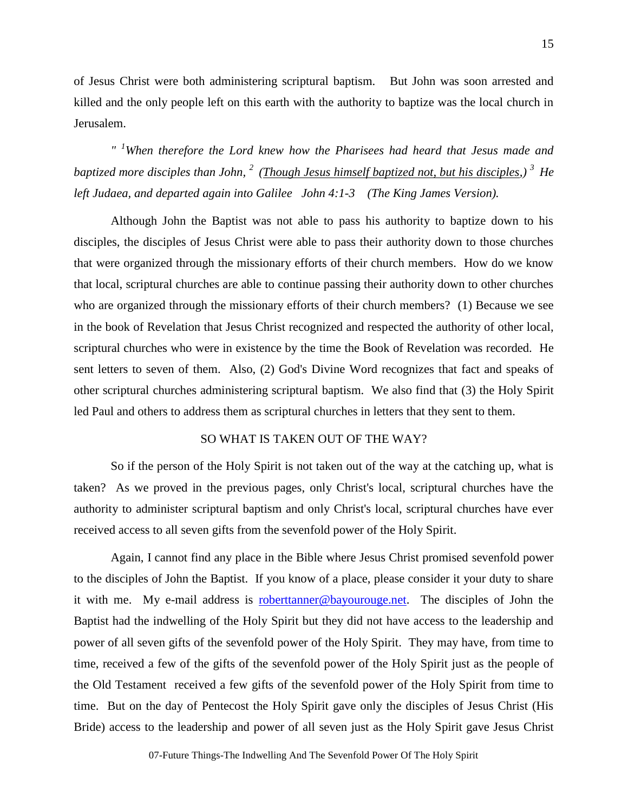of Jesus Christ were both administering scriptural baptism. But John was soon arrested and killed and the only people left on this earth with the authority to baptize was the local church in Jerusalem.

*" <sup>1</sup>When therefore the Lord knew how the Pharisees had heard that Jesus made and baptized more disciples than John, <sup>2</sup>(Though Jesus himself baptized not, but his disciples,) <sup>3</sup>He left Judaea, and departed again into Galilee John 4:1-3 (The King James Version).*

Although John the Baptist was not able to pass his authority to baptize down to his disciples, the disciples of Jesus Christ were able to pass their authority down to those churches that were organized through the missionary efforts of their church members. How do we know that local, scriptural churches are able to continue passing their authority down to other churches who are organized through the missionary efforts of their church members? (1) Because we see in the book of Revelation that Jesus Christ recognized and respected the authority of other local, scriptural churches who were in existence by the time the Book of Revelation was recorded. He sent letters to seven of them. Also, (2) God's Divine Word recognizes that fact and speaks of other scriptural churches administering scriptural baptism. We also find that (3) the Holy Spirit led Paul and others to address them as scriptural churches in letters that they sent to them.

# SO WHAT IS TAKEN OUT OF THE WAY?

So if the person of the Holy Spirit is not taken out of the way at the catching up, what is taken? As we proved in the previous pages, only Christ's local, scriptural churches have the authority to administer scriptural baptism and only Christ's local, scriptural churches have ever received access to all seven gifts from the sevenfold power of the Holy Spirit.

Again, I cannot find any place in the Bible where Jesus Christ promised sevenfold power to the disciples of John the Baptist. If you know of a place, please consider it your duty to share it with me. My e-mail address is [roberttanner@bayourouge.net.](mailto:roberttanner@bayourouge.net) The disciples of John the Baptist had the indwelling of the Holy Spirit but they did not have access to the leadership and power of all seven gifts of the sevenfold power of the Holy Spirit. They may have, from time to time, received a few of the gifts of the sevenfold power of the Holy Spirit just as the people of the Old Testament received a few gifts of the sevenfold power of the Holy Spirit from time to time. But on the day of Pentecost the Holy Spirit gave only the disciples of Jesus Christ (His Bride) access to the leadership and power of all seven just as the Holy Spirit gave Jesus Christ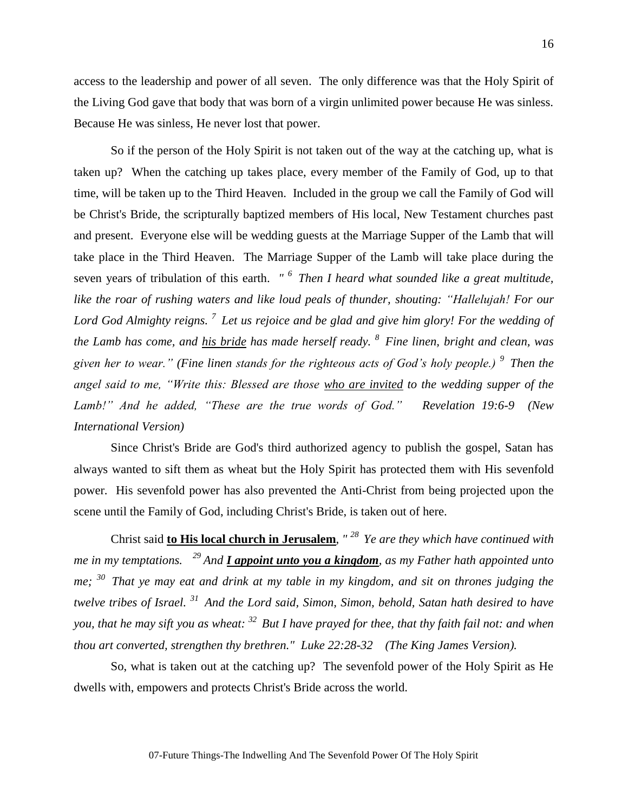access to the leadership and power of all seven. The only difference was that the Holy Spirit of the Living God gave that body that was born of a virgin unlimited power because He was sinless. Because He was sinless, He never lost that power.

So if the person of the Holy Spirit is not taken out of the way at the catching up, what is taken up? When the catching up takes place, every member of the Family of God, up to that time, will be taken up to the Third Heaven. Included in the group we call the Family of God will be Christ's Bride, the scripturally baptized members of His local, New Testament churches past and present. Everyone else will be wedding guests at the Marriage Supper of the Lamb that will take place in the Third Heaven. The Marriage Supper of the Lamb will take place during the seven years of tribulation of this earth. *" <sup>6</sup>Then I heard what sounded like a great multitude, like the roar of rushing waters and like loud peals of thunder, shouting: "Hallelujah! For our Lord God Almighty reigns. <sup>7</sup>Let us rejoice and be glad and give him glory! For the wedding of the Lamb has come, and his bride has made herself ready. <sup>8</sup>Fine linen, bright and clean, was given her to wear." (Fine linen stands for the righteous acts of God's holy people.) <sup>9</sup>Then the angel said to me, "Write this: Blessed are those who are invited to the wedding supper of the Lamb!" And he added, "These are the true words of God." Revelation 19:6-9 (New International Version)* 

Since Christ's Bride are God's third authorized agency to publish the gospel, Satan has always wanted to sift them as wheat but the Holy Spirit has protected them with His sevenfold power. His sevenfold power has also prevented the Anti-Christ from being projected upon the scene until the Family of God, including Christ's Bride, is taken out of here.

Christ said **to His local church in Jerusalem**, *" <sup>28</sup>Ye are they which have continued with me in my temptations. <sup>29</sup>And I appoint unto you a kingdom, as my Father hath appointed unto me; <sup>30</sup>That ye may eat and drink at my table in my kingdom, and sit on thrones judging the twelve tribes of Israel. <sup>31</sup>And the Lord said, Simon, Simon, behold, Satan hath desired to have you, that he may sift you as wheat: <sup>32</sup>But I have prayed for thee, that thy faith fail not: and when thou art converted, strengthen thy brethren." Luke 22:28-32 (The King James Version).*

So, what is taken out at the catching up? The sevenfold power of the Holy Spirit as He dwells with, empowers and protects Christ's Bride across the world.